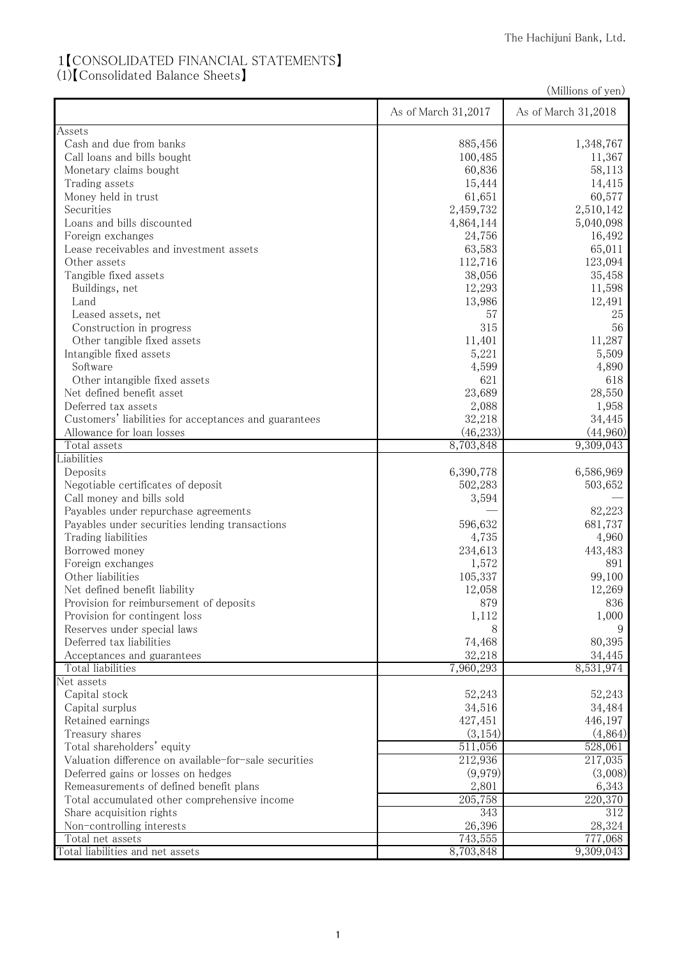## 1【CONSOLIDATED FINANCIAL STATEMENTS】

(1)【Consolidated Balance Sheets】

|                                                       |                      | (Millions of yen)    |
|-------------------------------------------------------|----------------------|----------------------|
|                                                       | As of March 31,2017  | As of March 31,2018  |
| <b>Assets</b>                                         |                      |                      |
| Cash and due from banks                               | 885,456              | 1,348,767            |
| Call loans and bills bought                           | 100,485              | 11,367               |
| Monetary claims bought                                | 60,836               | 58,113               |
| Trading assets                                        | 15,444               | 14,415               |
| Money held in trust                                   | 61,651               | 60,577               |
| Securities                                            | 2,459,732            | 2,510,142            |
| Loans and bills discounted                            | 4,864,144            | 5,040,098            |
| Foreign exchanges                                     | 24,756               | 16,492               |
| Lease receivables and investment assets               | 63,583               | 65,011               |
| Other assets                                          | 112,716              | 123,094              |
| Tangible fixed assets                                 | 38,056               | 35,458               |
| Buildings, net                                        | 12,293               | 11,598               |
| Land                                                  | 13,986               | 12,491               |
| Leased assets, net                                    | 57                   | 25                   |
| Construction in progress                              | 315                  | 56                   |
| Other tangible fixed assets                           | 11,401               | 11,287               |
| Intangible fixed assets                               | 5,221                | 5,509                |
| Software                                              | 4,599                | 4,890                |
| Other intangible fixed assets                         | 621                  | 618                  |
| Net defined benefit asset                             | 23,689               | 28,550               |
| Deferred tax assets                                   | 2,088                | 1,958                |
| Customers' liabilities for acceptances and guarantees | 32,218               | 34,445               |
| Allowance for loan losses                             | (46, 233)            | (44,960)             |
| Total assets                                          | 8,703,848            | 9,309,043            |
| Liabilities                                           |                      |                      |
| Deposits                                              | 6,390,778            | 6,586,969            |
| Negotiable certificates of deposit                    | 502,283              | 503,652              |
| Call money and bills sold                             | 3,594                |                      |
| Payables under repurchase agreements                  |                      | 82,223               |
| Payables under securities lending transactions        | 596,632              | 681,737              |
| Trading liabilities                                   | 4,735                | 4,960                |
| Borrowed money                                        | 234,613              | 443,483              |
| Foreign exchanges                                     | 1,572                | 891                  |
| Other liabilities                                     | 105,337              | 99,100               |
| Net defined benefit liability                         | 12,058               | 12,269               |
| Provision for reimbursement of deposits               | 879                  | 836                  |
| Provision for contingent loss                         | 1,112                | 1,000                |
| Reserves under special laws                           | 8                    | 9                    |
| Deferred tax liabilities                              | 74,468               | 80,395               |
| Acceptances and guarantees                            | 32,218               | 34,445               |
| Total liabilities                                     | 7,960,293            | 8,531,974            |
| Net assets                                            |                      |                      |
| Capital stock                                         | 52,243               | 52,243               |
| Capital surplus                                       | 34,516               | 34,484               |
| Retained earnings                                     | 427,451              | 446,197              |
| Treasury shares                                       | (3, 154)             | (4,864)              |
| Total shareholders' equity                            | $\overline{51}1,056$ | 528,061              |
| Valuation difference on available-for-sale securities | 212,936<br>(9,979)   | 217,035<br>(3,008)   |
| Deferred gains or losses on hedges                    |                      |                      |
| Remeasurements of defined benefit plans               | 2,801                | 6,343                |
| Total accumulated other comprehensive income          | $\overline{205,758}$ | $\overline{22}0,370$ |
| Share acquisition rights                              | 343                  | 312                  |
| Non-controlling interests                             | 26,396               | 28,324               |
| Total net assets                                      | 743,555              | 777,068              |
| Total liabilities and net assets                      | 8,703,848            | 9,309,043            |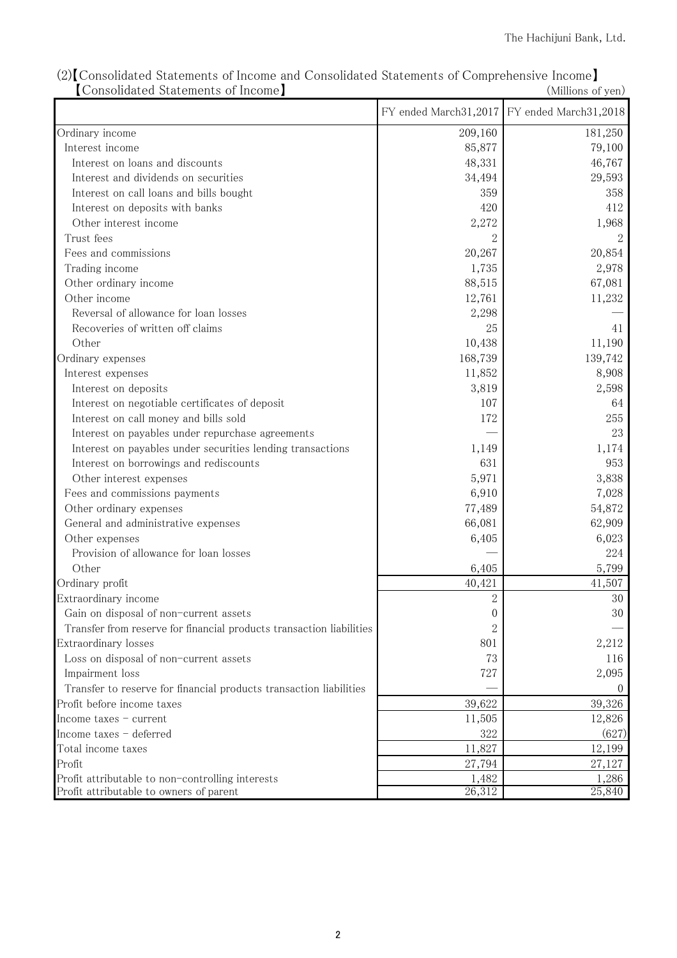|                                                                      |                     | FY ended March31,2017 FY ended March31,2018 |
|----------------------------------------------------------------------|---------------------|---------------------------------------------|
| Ordinary income                                                      | 209,160             | 181,250                                     |
| Interest income                                                      | 85,877              | 79,100                                      |
| Interest on loans and discounts                                      | 48,331              | 46,767                                      |
| Interest and dividends on securities                                 | 34,494              | 29,593                                      |
| Interest on call loans and bills bought                              | 359                 | 358                                         |
| Interest on deposits with banks                                      | 420                 | 412                                         |
| Other interest income                                                | 2,272               | 1,968                                       |
| Trust fees                                                           |                     |                                             |
| Fees and commissions                                                 | 20,267              | 20,854                                      |
| Trading income                                                       | 1,735               | 2,978                                       |
| Other ordinary income                                                | 88,515              | 67,081                                      |
| Other income                                                         | 12,761              | 11,232                                      |
| Reversal of allowance for loan losses                                | 2,298               |                                             |
| Recoveries of written off claims                                     | 25                  | 41                                          |
| Other                                                                | 10,438              | 11,190                                      |
| Ordinary expenses                                                    | 168,739             | 139,742                                     |
| Interest expenses                                                    | 11,852              | 8,908                                       |
| Interest on deposits                                                 | 3,819               | 2,598                                       |
| Interest on negotiable certificates of deposit                       | 107                 | 64                                          |
| Interest on call money and bills sold                                | 172                 | 255                                         |
| Interest on payables under repurchase agreements                     |                     | 23                                          |
| Interest on payables under securities lending transactions           | 1,149               | 1,174                                       |
| Interest on borrowings and rediscounts                               | 631                 | 953                                         |
| Other interest expenses                                              | 5,971               | 3,838                                       |
| Fees and commissions payments                                        | 6,910               | 7,028                                       |
| Other ordinary expenses                                              | 77,489              | 54,872                                      |
| General and administrative expenses                                  | 66,081              | 62,909                                      |
| Other expenses                                                       | 6,405               | 6,023                                       |
| Provision of allowance for loan losses                               |                     | 224                                         |
| Other                                                                | 6,405               | 5,799                                       |
| Ordinary profit                                                      | 40,421              | 41,507                                      |
| Extraordinary income                                                 | $\overline{2}$      | 30                                          |
| Gain on disposal of non-current assets                               | 0                   | 30                                          |
| Transfer from reserve for financial products transaction liabilities | 2                   |                                             |
| Extraordinary losses                                                 | 801                 | 2,212                                       |
| Loss on disposal of non-current assets                               | 73                  | 116                                         |
| Impairment loss                                                      | 727                 | 2,095                                       |
| Transfer to reserve for financial products transaction liabilities   |                     | $\left($                                    |
| Profit before income taxes                                           | 39,622              | 39,326                                      |
| Income taxes - current                                               | 11,505              | 12,826                                      |
| Income taxes - deferred                                              | 322                 | (627)                                       |
| Total income taxes                                                   | 11,827              | 12,199                                      |
| Profit                                                               | 27,794              | 27,127                                      |
| Profit attributable to non-controlling interests                     | 1,482               | 1,286                                       |
| Profit attributable to owners of parent                              | $\overline{26,312}$ | 25,840                                      |

(2)【Consolidated Statements of Income and Consolidated Statements of Comprehensive Income】 【Consolidated Statements of Income】 (Millions of yen)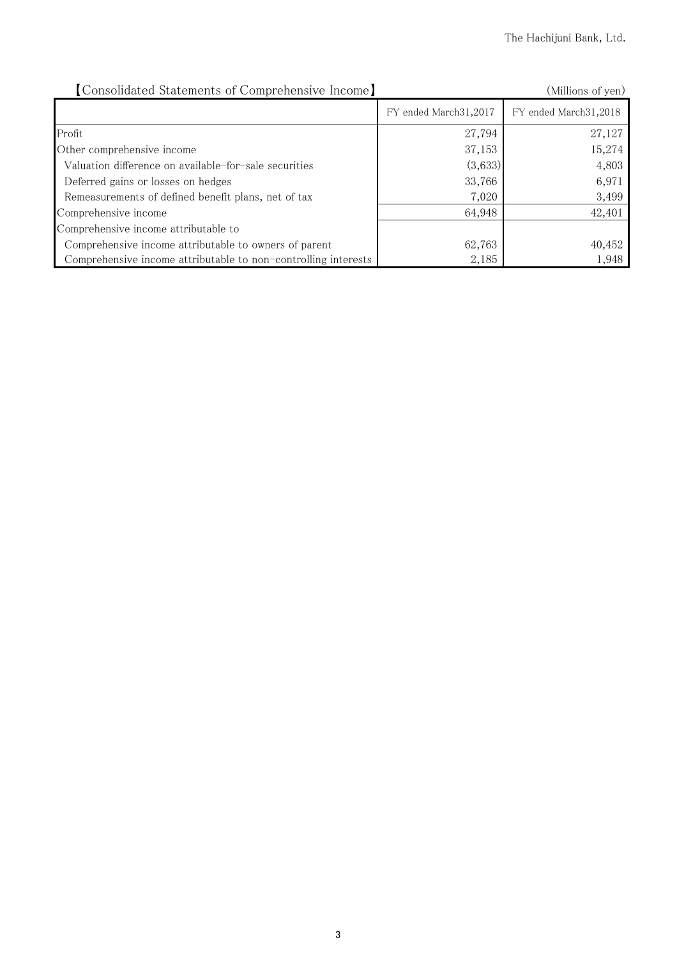| [Consolidated Statements of Comprehensive Income]              | (Millions of yen)       |                       |
|----------------------------------------------------------------|-------------------------|-----------------------|
|                                                                | FY ended March 31, 2017 | FY ended March31,2018 |
| Profit                                                         | 27,794                  | 27,127                |
| Other comprehensive income                                     | 37,153                  | 15,274                |
| Valuation difference on available-for-sale securities          | (3,633)                 | 4,803                 |
| Deferred gains or losses on hedges                             | 33,766                  | 6,971                 |
| Remeasurements of defined benefit plans, net of tax            | 7,020                   | 3,499                 |
| Comprehensive income                                           | 64,948                  | 42,401                |
| Comprehensive income attributable to                           |                         |                       |
| Comprehensive income attributable to owners of parent          | 62,763                  | 40,452                |
| Comprehensive income attributable to non-controlling interests | 2,185                   | 1,948                 |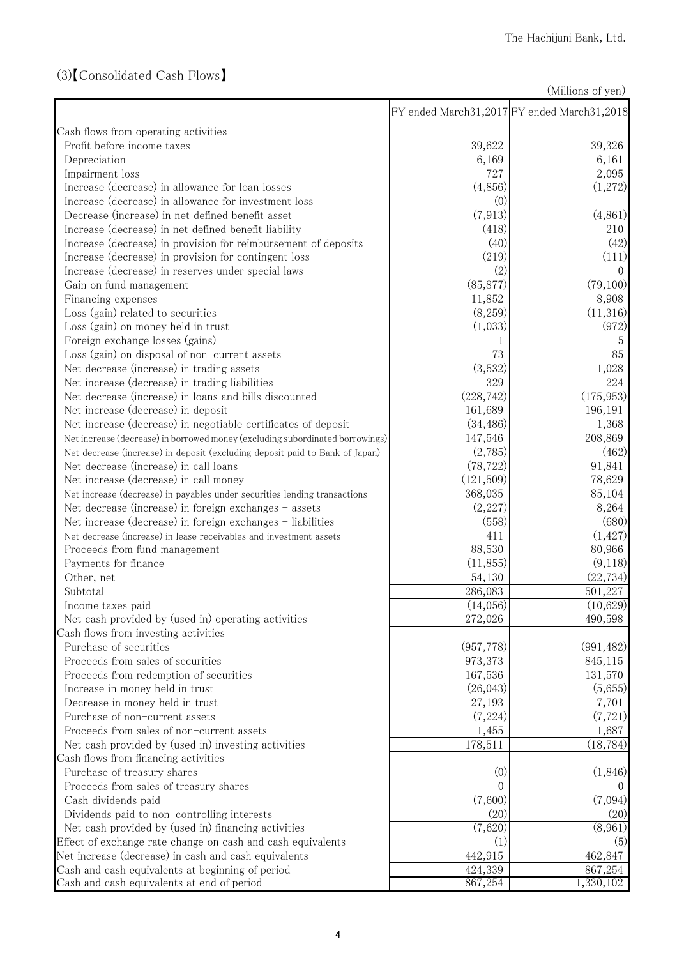## (3)【Consolidated Cash Flows】

(Millions of yen)

|                                                                               |            | FY ended March31,2017 FY ended March31,2018 |
|-------------------------------------------------------------------------------|------------|---------------------------------------------|
| Cash flows from operating activities                                          |            |                                             |
| Profit before income taxes                                                    | 39,622     | 39,326                                      |
| Depreciation                                                                  | 6,169      | 6,161                                       |
| Impairment loss                                                               | 727        | 2,095                                       |
| Increase (decrease) in allowance for loan losses                              | (4,856)    | (1,272)                                     |
| Increase (decrease) in allowance for investment loss                          | (0)        |                                             |
| Decrease (increase) in net defined benefit asset                              | (7, 913)   | (4,861)                                     |
| Increase (decrease) in net defined benefit liability                          | (418)      | 210                                         |
| Increase (decrease) in provision for reimbursement of deposits                | (40)       | (42)                                        |
| Increase (decrease) in provision for contingent loss                          | (219)      | (111)                                       |
| Increase (decrease) in reserves under special laws                            | (2)        | $\Omega$                                    |
| Gain on fund management                                                       | (85, 877)  | (79,100)                                    |
| Financing expenses                                                            | 11,852     | 8,908                                       |
| Loss (gain) related to securities                                             | (8,259)    | (11,316)                                    |
| Loss (gain) on money held in trust                                            | (1,033)    | (972)                                       |
| Foreign exchange losses (gains)                                               |            | 5                                           |
| Loss (gain) on disposal of non-current assets                                 | 73         | 85                                          |
| Net decrease (increase) in trading assets                                     | (3,532)    | 1,028                                       |
| Net increase (decrease) in trading liabilities                                | 329        | 224                                         |
| Net decrease (increase) in loans and bills discounted                         | (228, 742) | (175, 953)                                  |
| Net increase (decrease) in deposit                                            | 161,689    | 196,191                                     |
| Net increase (decrease) in negotiable certificates of deposit                 | (34, 486)  | 1,368                                       |
| Net increase (decrease) in borrowed money (excluding subordinated borrowings) | 147,546    | 208,869                                     |
| Net decrease (increase) in deposit (excluding deposit paid to Bank of Japan)  | (2,785)    | (462)                                       |
| Net decrease (increase) in call loans                                         | (78, 722)  | 91,841                                      |
| Net increase (decrease) in call money                                         | (121,509)  | 78,629                                      |
| Net increase (decrease) in payables under securities lending transactions     | 368,035    | 85,104                                      |
| Net decrease (increase) in foreign exchanges - assets                         | (2,227)    | 8,264                                       |
| Net increase (decrease) in foreign exchanges - liabilities                    | (558)      | (680)                                       |
| Net decrease (increase) in lease receivables and investment assets            | 411        | (1, 427)                                    |
| Proceeds from fund management                                                 | 88,530     | 80,966                                      |
| Payments for finance                                                          | (11, 855)  | (9,118)                                     |
| Other, net                                                                    | 54,130     | (22, 734)                                   |
| Subtotal                                                                      | 286,083    | 501,227                                     |
| Income taxes paid                                                             | (14,056)   | (10,629)                                    |
| Net cash provided by (used in) operating activities                           | 272,026    | 490,598                                     |
| Cash flows from investing activities                                          |            |                                             |
| Purchase of securities                                                        | (957, 778) | (991, 482)                                  |
| Proceeds from sales of securities                                             | 973,373    | 845,115                                     |
| Proceeds from redemption of securities                                        | 167,536    | 131,570                                     |
| Increase in money held in trust                                               | (26, 043)  | (5,655)                                     |
| Decrease in money held in trust                                               | 27,193     | 7,701                                       |
| Purchase of non-current assets                                                | (7,224)    | (7, 721)                                    |
| Proceeds from sales of non-current assets                                     | 1,455      | 1,687                                       |
| Net cash provided by (used in) investing activities                           | 178,511    | (18, 784)                                   |
| Cash flows from financing activities                                          |            |                                             |
| Purchase of treasury shares                                                   | (0)        | (1,846)                                     |
| Proceeds from sales of treasury shares                                        | 0          |                                             |
| Cash dividends paid                                                           | (7,600)    | (7,094)                                     |
| Dividends paid to non-controlling interests                                   | (20)       | (20)                                        |
| Net cash provided by (used in) financing activities                           | (7,620)    | (8,961)                                     |
| Effect of exchange rate change on cash and cash equivalents                   | (1)        | (5)                                         |
| Net increase (decrease) in cash and cash equivalents                          | 442,915    | 462,847                                     |
| Cash and cash equivalents at beginning of period                              | 424,339    | 867,254                                     |
| Cash and cash equivalents at end of period                                    | 867,254    | 1,330,102                                   |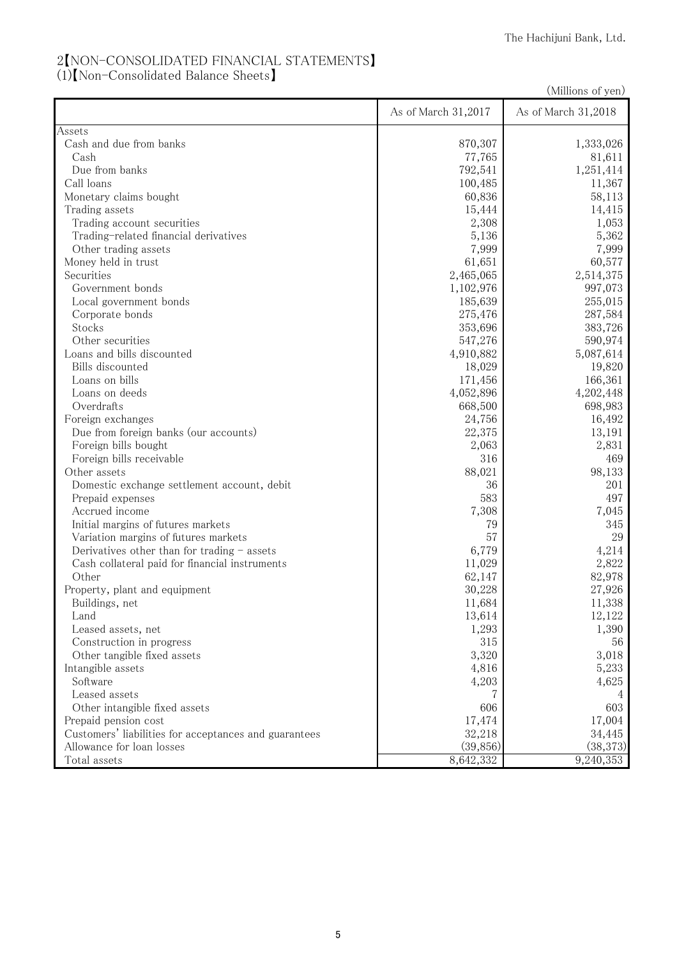## 2【NON-CONSOLIDATED FINANCIAL STATEMENTS】

(1)【Non-Consolidated Balance Sheets】

(Millions of yen)

|                                                       | As of March 31,2017 | As of March 31,2018 |
|-------------------------------------------------------|---------------------|---------------------|
| Assets                                                |                     |                     |
| Cash and due from banks                               | 870,307             | 1,333,026           |
| Cash                                                  | 77,765              | 81,611              |
| Due from banks                                        | 792,541             | 1,251,414           |
| Call loans                                            | 100,485             | 11,367              |
| Monetary claims bought                                | 60,836              | 58,113              |
| Trading assets                                        | 15,444              | 14,415              |
| Trading account securities                            | 2,308               | 1,053               |
| Trading-related financial derivatives                 | 5,136               | 5,362               |
| Other trading assets                                  | 7,999               | 7,999               |
| Money held in trust                                   | 61,651              | 60,577              |
| Securities                                            | 2,465,065           | 2,514,375           |
| Government bonds                                      | 1,102,976           | 997,073             |
| Local government bonds                                | 185,639             | 255,015             |
| Corporate bonds                                       | 275,476             | 287,584             |
| Stocks                                                | 353,696             | 383,726             |
| Other securities                                      | 547,276             | 590,974             |
| Loans and bills discounted                            | 4,910,882           | 5,087,614           |
| Bills discounted                                      | 18,029              | 19,820              |
| Loans on bills                                        | 171,456             | 166,361             |
| Loans on deeds                                        | 4,052,896           | 4,202,448           |
| Overdrafts                                            | 668,500             | 698,983             |
| Foreign exchanges                                     | 24,756              | 16,492              |
| Due from foreign banks (our accounts)                 | 22,375              | 13,191              |
| Foreign bills bought                                  | 2,063               | 2,831               |
| Foreign bills receivable                              | 316                 | 469                 |
| Other assets                                          | 88,021              | 98,133              |
| Domestic exchange settlement account, debit           | 36                  | 201                 |
| Prepaid expenses                                      | 583                 | 497                 |
| Accrued income                                        | 7,308               | 7,045               |
| Initial margins of futures markets                    | 79                  | 345                 |
| Variation margins of futures markets                  | 57                  | 29                  |
| Derivatives other than for trading - assets           | 6,779               | 4,214               |
| Cash collateral paid for financial instruments        | 11,029              | 2,822               |
| Other                                                 | 62,147              | 82,978              |
| Property, plant and equipment                         | 30,228              | 27,926              |
| Buildings, net                                        | 11,684              | 11,338              |
| Land                                                  | 13,614              | 12,122              |
| Leased assets, net                                    | 1,293               | 1,390               |
| Construction in progress                              | 315                 | 56                  |
| Other tangible fixed assets                           | 3,320               | 3,018               |
| Intangible assets                                     | 4,816               | 5,233               |
| Software                                              | 4,203               | 4,625               |
| Leased assets                                         |                     |                     |
| Other intangible fixed assets                         | 606                 | 603                 |
| Prepaid pension cost                                  | 17,474              | 17,004              |
| Customers' liabilities for acceptances and guarantees | 32,218              | 34,445              |
| Allowance for loan losses                             | (39, 856)           | (38, 373)           |
| Total assets                                          | 8,642,332           | 9,240,353           |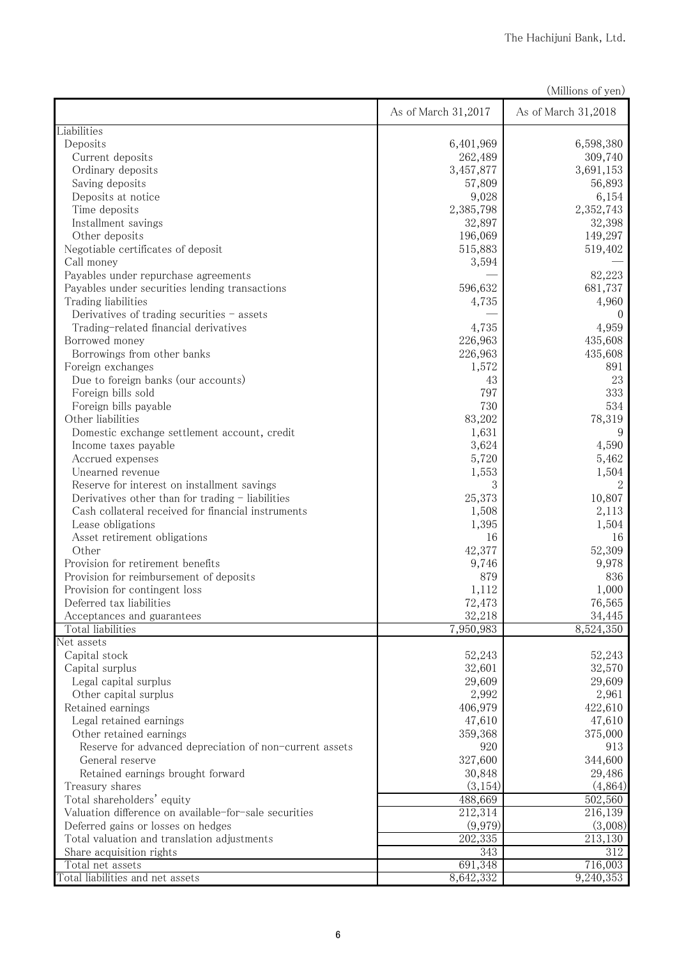|                                                         |                     | (Millions of yen)   |
|---------------------------------------------------------|---------------------|---------------------|
|                                                         | As of March 31,2017 | As of March 31,2018 |
| Liabilities                                             |                     |                     |
| Deposits                                                | 6,401,969           | 6,598,380           |
| Current deposits                                        | 262,489             | 309,740             |
| Ordinary deposits                                       | 3,457,877           | 3,691,153           |
| Saving deposits                                         | 57,809              | 56,893              |
| Deposits at notice                                      | 9,028               | 6,154               |
| Time deposits                                           | 2,385,798           | 2,352,743           |
| Installment savings                                     | 32,897              | 32,398              |
| Other deposits                                          | 196,069             | 149,297             |
| Negotiable certificates of deposit                      | 515,883             | 519,402             |
| Call money                                              | 3,594               |                     |
| Payables under repurchase agreements                    |                     | 82,223              |
| Payables under securities lending transactions          | 596,632             | 681,737             |
| Trading liabilities                                     | 4,735               | 4,960               |
| Derivatives of trading securities - assets              |                     | $\left( \right)$    |
| Trading-related financial derivatives                   | 4,735               | 4,959               |
| Borrowed money                                          | 226,963             | 435,608             |
| Borrowings from other banks                             | 226,963             | 435,608             |
| Foreign exchanges                                       | 1,572               | 891                 |
| Due to foreign banks (our accounts)                     | 43                  | 23                  |
| Foreign bills sold                                      | 797                 | 333                 |
| Foreign bills payable                                   | 730                 | 534                 |
| Other liabilities                                       | 83,202              | 78,319              |
| Domestic exchange settlement account, credit            | 1,631               | 9                   |
| Income taxes payable                                    | 3,624               | 4,590               |
| Accrued expenses                                        | 5,720               | 5,462               |
| Unearned revenue                                        | 1,553               | 1,504               |
| Reserve for interest on installment savings             | 3                   |                     |
| Derivatives other than for trading - liabilities        | 25,373              | 10,807              |
| Cash collateral received for financial instruments      | 1,508               | 2,113               |
| Lease obligations                                       | 1,395               | 1,504               |
| Asset retirement obligations                            | 16                  | 16                  |
| Other                                                   | 42,377              | 52,309              |
| Provision for retirement benefits                       | 9,746               | 9,978               |
| Provision for reimbursement of deposits                 | 879                 | 836                 |
| Provision for contingent loss                           | 1,112               | 1,000               |
| Deferred tax liabilities                                | 72,473              | 76,565              |
| Acceptances and guarantees                              | 32,218              | 34,445              |
| Total liabilities                                       | 7,950,983           | 8,524,350           |
| Net assets                                              |                     |                     |
| Capital stock                                           | 52,243              | 52,243              |
| Capital surplus                                         | 32,601              | 32,570              |
| Legal capital surplus                                   | 29,609              | 29,609              |
| Other capital surplus                                   | 2,992               | 2,961               |
| Retained earnings                                       | 406,979             | 422,610             |
| Legal retained earnings                                 | 47,610              | 47,610              |
| Other retained earnings                                 | 359,368             | 375,000             |
| Reserve for advanced depreciation of non-current assets | 920                 | 913                 |
| General reserve                                         | 327,600             | 344,600             |
| Retained earnings brought forward                       | 30,848              | 29,486              |
| Treasury shares                                         | (3, 154)            | (4,864)             |
| Total shareholders' equity                              | 488,669             | 502,560             |
| Valuation difference on available-for-sale securities   | 212,314             | 216,139             |
| Deferred gains or losses on hedges                      | (9,979)             | (3,008)             |
| Total valuation and translation adjustments             | 202,335             | 213,130             |
| Share acquisition rights                                | 343                 | 312                 |
| Total net assets                                        | 691,348             | 716,003             |
| Total liabilities and net assets                        | 8,642,332           | 9,240,353           |
|                                                         |                     |                     |